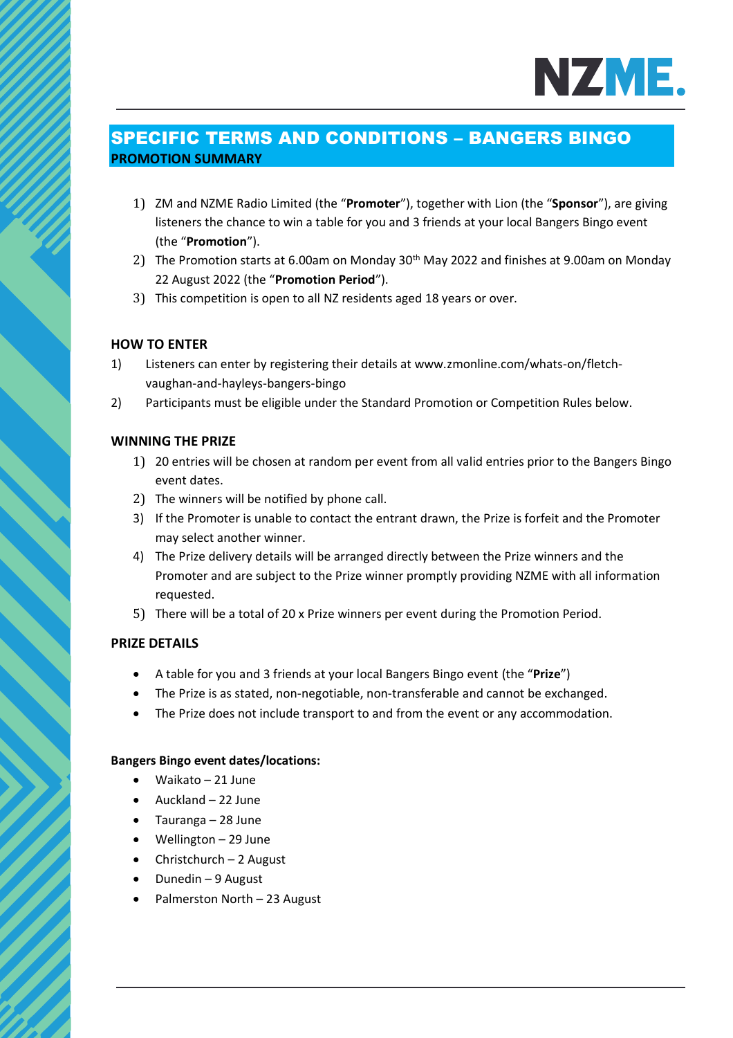

# SPECIFIC TERMS AND CONDITIONS – BANGERS BINGO **PROMOTION SUMMARY**

- 1) ZM and NZME Radio Limited (the "**Promoter**"), together with Lion (the "**Sponsor**"), are giving listeners the chance to win a table for you and 3 friends at your local Bangers Bingo event (the "**Promotion**").
- 2) The Promotion starts at 6.00am on Monday 30<sup>th</sup> May 2022 and finishes at 9.00am on Monday 22 August 2022 (the "**Promotion Period**").
- 3) This competition is open to all NZ residents aged 18 years or over.

## **HOW TO ENTER**

- 1) Listeners can enter by registering their details at www.zmonline.com/whats-on/fletchvaughan-and-hayleys-bangers-bingo
- 2) Participants must be eligible under the Standard Promotion or Competition Rules below.

### **WINNING THE PRIZE**

- 1) 20 entries will be chosen at random per event from all valid entries prior to the Bangers Bingo event dates.
- 2) The winners will be notified by phone call.
- 3) If the Promoter is unable to contact the entrant drawn, the Prize is forfeit and the Promoter may select another winner.
- 4) The Prize delivery details will be arranged directly between the Prize winners and the Promoter and are subject to the Prize winner promptly providing NZME with all information requested.
- 5) There will be a total of 20 x Prize winners per event during the Promotion Period.

### **PRIZE DETAILS**

- A table for you and 3 friends at your local Bangers Bingo event (the "**Prize**")
- The Prize is as stated, non-negotiable, non-transferable and cannot be exchanged.
- The Prize does not include transport to and from the event or any accommodation.

#### **Bangers Bingo event dates/locations:**

- Waikato 21 June
- Auckland 22 June
- Tauranga 28 June
- Wellington 29 June
- Christchurch 2 August
- Dunedin 9 August
- Palmerston North 23 August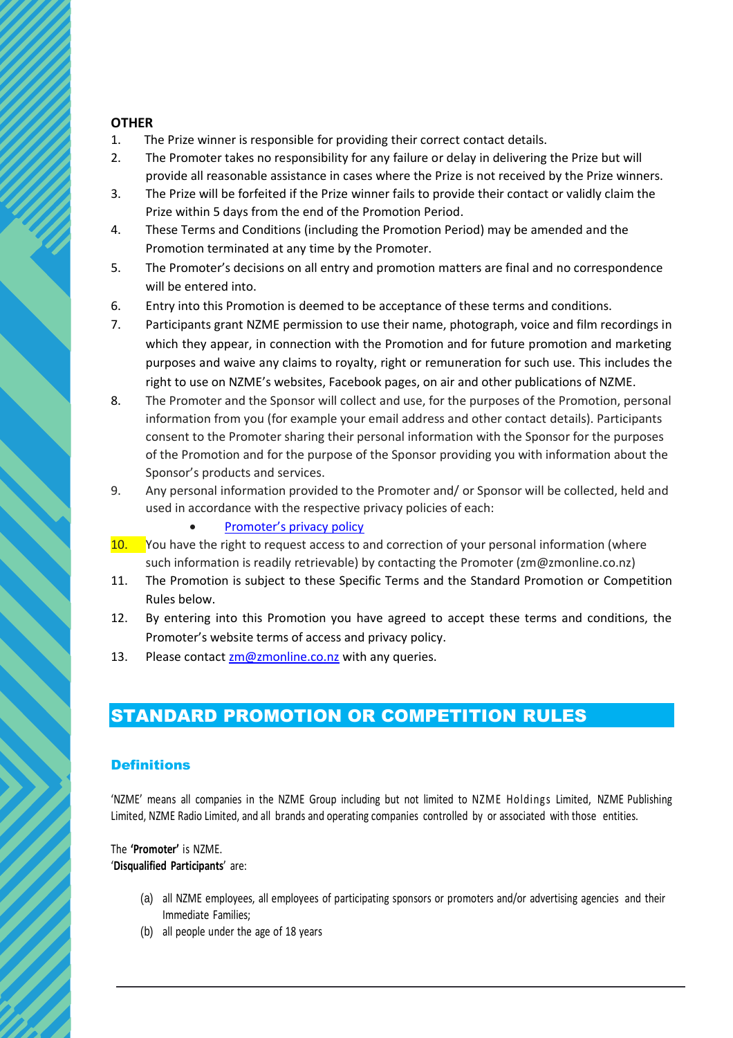### **OTHER**

- 1. The Prize winner is responsible for providing their correct contact details.
- 2. The Promoter takes no responsibility for any failure or delay in delivering the Prize but will provide all reasonable assistance in cases where the Prize is not received by the Prize winners.
- 3. The Prize will be forfeited if the Prize winner fails to provide their contact or validly claim the Prize within 5 days from the end of the Promotion Period.
- 4. These Terms and Conditions (including the Promotion Period) may be amended and the Promotion terminated at any time by the Promoter.
- 5. The Promoter's decisions on all entry and promotion matters are final and no correspondence will be entered into.
- 6. Entry into this Promotion is deemed to be acceptance of these terms and conditions.
- 7. Participants grant NZME permission to use their name, photograph, voice and film recordings in which they appear, in connection with the Promotion and for future promotion and marketing purposes and waive any claims to royalty, right or remuneration for such use. This includes the right to use on NZME's websites, Facebook pages, on air and other publications of NZME.
- 8. The Promoter and the Sponsor will collect and use, for the purposes of the Promotion, personal information from you (for example your email address and other contact details). Participants consent to the Promoter sharing their personal information with the Sponsor for the purposes of the Promotion and for the purpose of the Sponsor providing you with information about the Sponsor's products and services.
- 9. Any personal information provided to the Promoter and/ or Sponsor will be collected, held and used in accordance with the respective privacy policies of each:
	- [Promoter's privacy policy](https://www.nzme.co.nz/media/5ihfylhk/nzme-privacy-policy_may2021_v2.pdf)
- 10. You have the right to request access to and correction of your personal information (where such information is readily retrievable) by contacting the Promoter (zm@zmonline.co.nz)
- 11. The Promotion is subject to these Specific Terms and the Standard Promotion or Competition Rules below.
- 12. By entering into this Promotion you have agreed to accept these terms and conditions, the Promoter's website terms of access and privacy policy.
- 13. Please contact  $z$ m@zmonline.co.nz with any queries.

# STANDARD PROMOTION OR COMPETITION RULES

### **Definitions**

'NZME' means all companies in the NZME Group including but not limited to NZME Holdings Limited, NZME Publishing Limited, NZME Radio Limited, and all brands and operating companies controlled by or associated with those entities.

#### The **'Promoter'** is NZME. '**Disqualified Participants**' are:

- (a) all NZME employees, all employees of participating sponsors or promoters and/or advertising agencies and their Immediate Families;
- (b) all people under the age of 18 years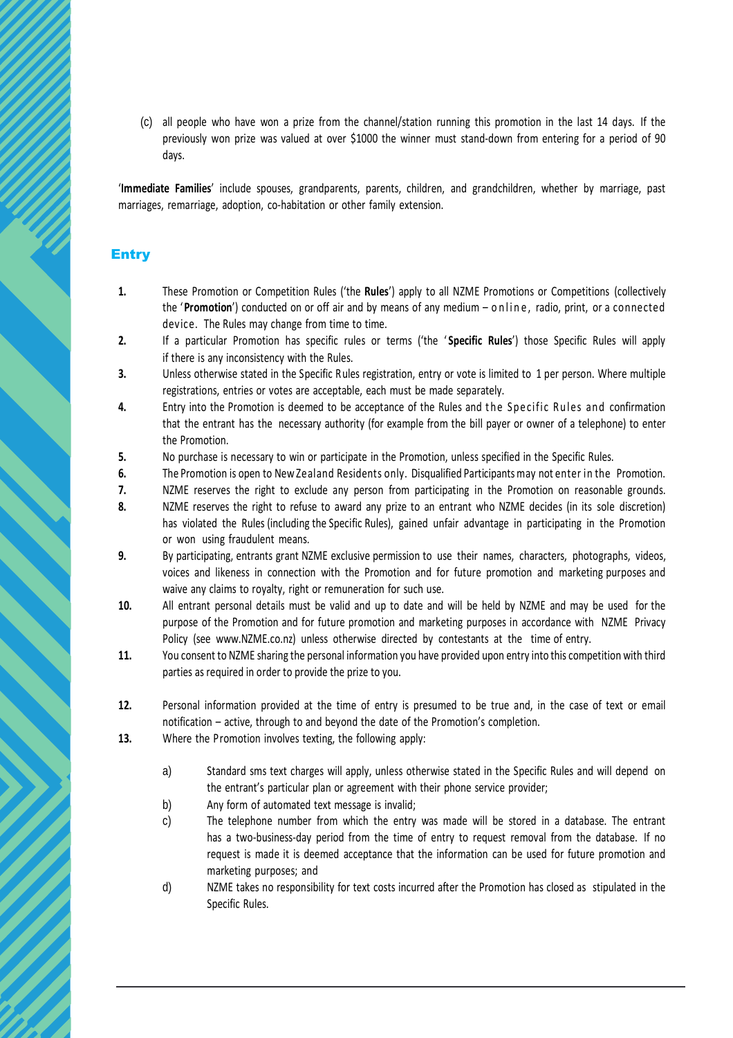(c) all people who have won a prize from the channel/station running this promotion in the last 14 days. If the previously won prize was valued at over \$1000 the winner must stand-down from entering for a period of 90 days.

'**Immediate Families**' include spouses, grandparents, parents, children, and grandchildren, whether by marriage, past marriages, remarriage, adoption, co-habitation or other family extension.

## **Entry**

- **1.** These Promotion or Competition Rules ('the **Rules**') apply to all NZME Promotions or Competitions (collectively the '**Promotion**') conducted on or off air and by means of any medium – o n line, radio, print, or a connected device. The Rules may change from time to time.
- **2.** If a particular Promotion has specific rules or terms ('the ' **Specific Rules**') those Specific Rules will apply if there is any inconsistency with the Rules.
- **3.** Unless otherwise stated in the Specific Rules registration, entry or vote is limited to 1 per person. Where multiple registrations, entries or votes are acceptable, each must be made separately.
- 4. Entry into the Promotion is deemed to be acceptance of the Rules and the Specific Rules and confirmation that the entrant has the necessary authority (for example from the bill payer or owner of a telephone) to enter the Promotion.
- **5.** No purchase is necessary to win or participate in the Promotion, unless specified in the Specific Rules.
- **6.** The Promotion is open to New Zealand Residents only. Disqualified Participants may not enter in the Promotion.
- **7.** NZME reserves the right to exclude any person from participating in the Promotion on reasonable grounds.
- **8.** NZME reserves the right to refuse to award any prize to an entrant who NZME decides (in its sole discretion) has violated the Rules (including the Specific Rules), gained unfair advantage in participating in the Promotion or won using fraudulent means.
- **9.** By participating, entrants grant NZME exclusive permission to use their names, characters, photographs, videos, voices and likeness in connection with the Promotion and for future promotion and marketing purposes and waive any claims to royalty, right or remuneration for such use.
- **10.** All entrant personal details must be valid and up to date and will be held by NZME and may be used for the purpose of the Promotion and for future promotion and marketing purposes in accordance with NZME Privacy Policy (see www.NZME.co.nz) unless otherwise directed by contestants at the time of entry.
- **11.** You consent to NZME sharing the personal information you have provided upon entry into this competition with third parties as required in order to provide the prize to you.
- **12.** Personal information provided at the time of entry is presumed to be true and, in the case of text or email notification – active, through to and beyond the date of the Promotion's completion.
- **13.** Where the Promotion involves texting, the following apply:
	- a) Standard sms text charges will apply, unless otherwise stated in the Specific Rules and will depend on the entrant's particular plan or agreement with their phone service provider;
	- b) Any form of automated text message is invalid;
	- c) The telephone number from which the entry was made will be stored in a database. The entrant has a two-business-day period from the time of entry to request removal from the database. If no request is made it is deemed acceptance that the information can be used for future promotion and marketing purposes; and
	- d) NZME takes no responsibility for text costs incurred after the Promotion has closed as stipulated in the Specific Rules.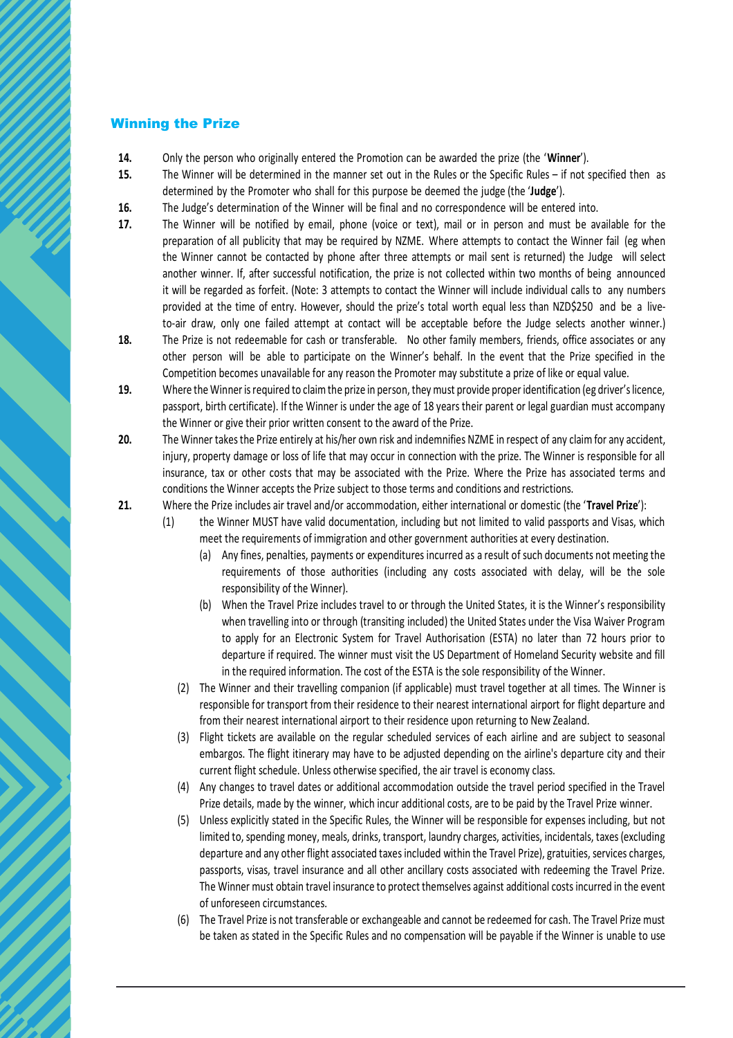### Winning the Prize

- **14.** Only the person who originally entered the Promotion can be awarded the prize (the '**Winner**').
- **15.** The Winner will be determined in the manner set out in the Rules or the Specific Rules if not specified then as determined by the Promoter who shall for this purpose be deemed the judge (the '**Judge**').
- **16.** The Judge's determination of the Winner will be final and no correspondence will be entered into.
- **17.** The Winner will be notified by email, phone (voice or text), mail or in person and must be available for the preparation of all publicity that may be required by NZME. Where attempts to contact the Winner fail (eg when the Winner cannot be contacted by phone after three attempts or mail sent is returned) the Judge will select another winner. If, after successful notification, the prize is not collected within two months of being announced it will be regarded as forfeit. (Note: 3 attempts to contact the Winner will include individual calls to any numbers provided at the time of entry. However, should the prize's total worth equal less than NZD\$250 and be a liveto-air draw, only one failed attempt at contact will be acceptable before the Judge selects another winner.)
- **18.** The Prize is not redeemable for cash or transferable. No other family members, friends, office associates or any other person will be able to participate on the Winner's behalf. In the event that the Prize specified in the Competition becomes unavailable for any reason the Promoter may substitute a prize of like or equal value.
- **19.** Where the Winner is required to claim the prize in person, they must provide proper identification (eg driver's licence, passport, birth certificate). If the Winner is under the age of 18 years their parent or legal guardian must accompany the Winner or give their prior written consent to the award of the Prize.
- **20.** The Winner takes the Prize entirely at his/her own risk and indemnifies NZME in respect of any claim for any accident, injury, property damage or loss of life that may occur in connection with the prize. The Winner is responsible for all insurance, tax or other costs that may be associated with the Prize. Where the Prize has associated terms and conditions the Winner accepts the Prize subject to those terms and conditions and restrictions.
- **21.** Where the Prize includes air travel and/or accommodation, either international or domestic (the '**Travel Prize**'):
	- (1) the Winner MUST have valid documentation, including but not limited to valid passports and Visas, which meet the requirements of immigration and other government authorities at every destination.
		- (a) Any fines, penalties, payments or expenditures incurred as a result of such documents not meeting the requirements of those authorities (including any costs associated with delay, will be the sole responsibility of the Winner).
		- (b) When the Travel Prize includes travel to or through the United States, it is the Winner's responsibility when travelling into or through (transiting included) the United States under the Visa Waiver Program to apply for an Electronic System for Travel Authorisation (ESTA) no later than 72 hours prior to departure if required. The winner must visit the US Department of Homeland Security website and fill in the required information. The cost of the ESTA is the sole responsibility of the Winner.
		- (2) The Winner and their travelling companion (if applicable) must travel together at all times. The Winner is responsible for transport from their residence to their nearest international airport for flight departure and from their nearest international airport to their residence upon returning to New Zealand.
		- (3) Flight tickets are available on the regular scheduled services of each airline and are subject to seasonal embargos. The flight itinerary may have to be adjusted depending on the airline's departure city and their current flight schedule. Unless otherwise specified, the air travel is economy class.
		- (4) Any changes to travel dates or additional accommodation outside the travel period specified in the Travel Prize details, made by the winner, which incur additional costs, are to be paid by the Travel Prize winner.
		- (5) Unless explicitly stated in the Specific Rules, the Winner will be responsible for expenses including, but not limited to, spending money, meals, drinks, transport, laundry charges, activities, incidentals, taxes (excluding departure and any other flight associated taxes included within the Travel Prize), gratuities, services charges, passports, visas, travel insurance and all other ancillary costs associated with redeeming the Travel Prize. The Winner must obtain travel insurance to protect themselves against additional costs incurred in the event of unforeseen circumstances.
		- (6) The Travel Prize is not transferable or exchangeable and cannot be redeemed for cash. The Travel Prize must be taken as stated in the Specific Rules and no compensation will be payable if the Winner is unable to use